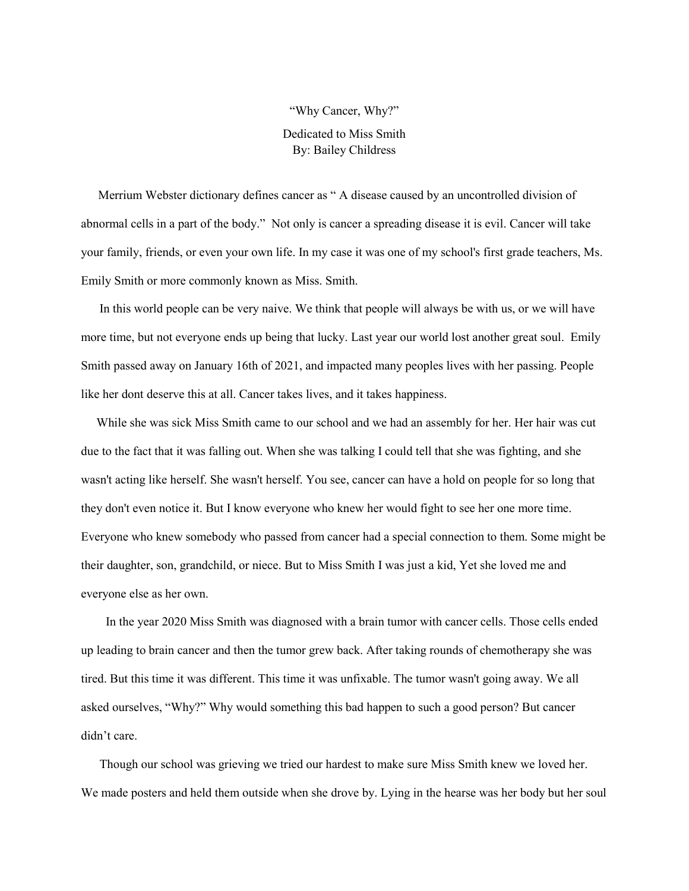## "Why Cancer, Why?" Dedicated to Miss Smith By: Bailey Childress

 Merrium Webster dictionary defines cancer as " A disease caused by an uncontrolled division of abnormal cells in a part of the body." Not only is cancer a spreading disease it is evil. Cancer will take your family, friends, or even your own life. In my case it was one of my school's first grade teachers, Ms. Emily Smith or more commonly known as Miss. Smith.

 In this world people can be very naive. We think that people will always be with us, or we will have more time, but not everyone ends up being that lucky. Last year our world lost another great soul. Emily Smith passed away on January 16th of 2021, and impacted many peoples lives with her passing. People like her dont deserve this at all. Cancer takes lives, and it takes happiness.

 While she was sick Miss Smith came to our school and we had an assembly for her. Her hair was cut due to the fact that it was falling out. When she was talking I could tell that she was fighting, and she wasn't acting like herself. She wasn't herself. You see, cancer can have a hold on people for so long that they don't even notice it. But I know everyone who knew her would fight to see her one more time. Everyone who knew somebody who passed from cancer had a special connection to them. Some might be their daughter, son, grandchild, or niece. But to Miss Smith I was just a kid, Yet she loved me and everyone else as her own.

 In the year 2020 Miss Smith was diagnosed with a brain tumor with cancer cells. Those cells ended up leading to brain cancer and then the tumor grew back. After taking rounds of chemotherapy she was tired. But this time it was different. This time it was unfixable. The tumor wasn't going away. We all asked ourselves, "Why?" Why would something this bad happen to such a good person? But cancer didn't care.

 Though our school was grieving we tried our hardest to make sure Miss Smith knew we loved her. We made posters and held them outside when she drove by. Lying in the hearse was her body but her soul